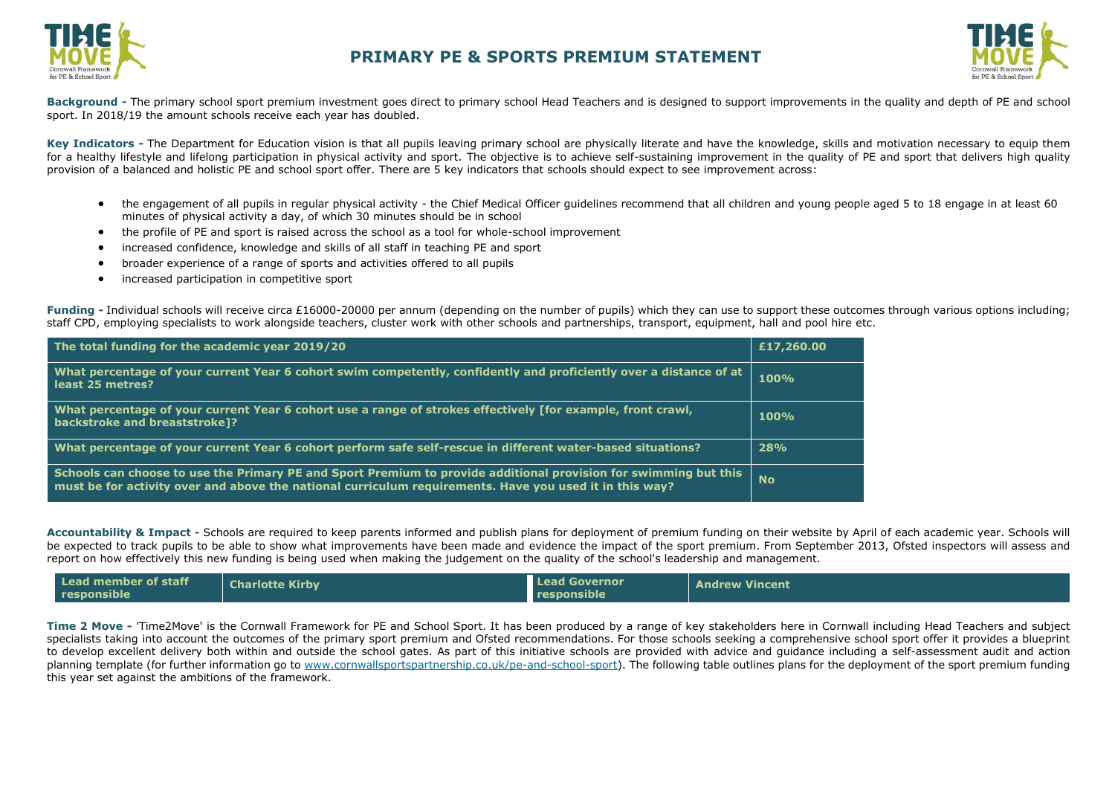



**Background -** The primary school sport premium investment goes direct to primary school Head Teachers and is designed to support improvements in the quality and depth of PE and school sport. In 2018/19 the amount schools receive each year has doubled.

Key Indicators - The Department for Education vision is that all pupils leaving primary school are physically literate and have the knowledge, skills and motivation necessary to equip them for a healthy lifestyle and lifelong participation in physical activity and sport. The objective is to achieve self-sustaining improvement in the quality of PE and sport that delivers high quality provision of a balanced and holistic PE and school sport offer. There are 5 key indicators that schools should expect to see improvement across:

- the engagement of all pupils in regular physical activity the Chief Medical Officer guidelines recommend that all children and young people aged 5 to 18 engage in at least 60 minutes of physical activity a day, of which 30 minutes should be in school
- the profile of PE and sport is raised across the school as a tool for whole-school improvement
- increased confidence, knowledge and skills of all staff in teaching PE and sport
- broader experience of a range of sports and activities offered to all pupils
- increased participation in competitive sport

Funding - Individual schools will receive circa £16000-20000 per annum (depending on the number of pupils) which they can use to support these outcomes through various options including; staff CPD, employing specialists to work alongside teachers, cluster work with other schools and partnerships, transport, equipment, hall and pool hire etc.

| The total funding for the academic year 2019/20                                                                                                                                                                             | £17,260.00 |
|-----------------------------------------------------------------------------------------------------------------------------------------------------------------------------------------------------------------------------|------------|
| What percentage of your current Year 6 cohort swim competently, confidently and proficiently over a distance of at<br>least 25 metres?                                                                                      | 100%       |
| What percentage of your current Year 6 cohort use a range of strokes effectively [for example, front crawl,<br>backstroke and breaststroke]?                                                                                | 100%       |
| What percentage of your current Year 6 cohort perform safe self-rescue in different water-based situations?                                                                                                                 | 28%        |
| Schools can choose to use the Primary PE and Sport Premium to provide additional provision for swimming but this<br>must be for activity over and above the national curriculum requirements. Have you used it in this way? | <b>No</b>  |

**Accountability & Impact -** Schools are required to keep parents informed and publish plans for deployment of premium funding on their website by April of each academic year. Schools will be expected to track pupils to be able to show what improvements have been made and [evidence the impact o](http://www.cornwallsportspartnership.co.uk/)f the sport premium. From September 2013, [Ofsted](http://www.ofsted.gov.uk/inspection-reports/our-expert-knowledge/physical-education) inspectors will assess and report on how effectively this new funding is being used when making the judgement on the quality of the school's leadership and management.

| Lead member of staff<br>responsible | <b>Charlotte Kirby</b> | <b>Lead Governor</b><br>responsible | <b>Andrew Vincent</b> |
|-------------------------------------|------------------------|-------------------------------------|-----------------------|
|-------------------------------------|------------------------|-------------------------------------|-----------------------|

**Time 2 Move -** 'Time2Move' is the Cornwall Framework for PE and School Sport. It has been produced by a range of key stakeholders here in Cornwall including Head Teachers and subject specialists taking into account the outcomes of the primary sport premium and Ofsted recommendations. For those schools seeking a comprehensive school sport offer it provides a blueprint to develop excellent delivery both within and outside the school gates. As part of this initiative schools are provided with advice and guidance including a self-assessment audit and action planning template (for further information go to [www.cornwallsportspartnership.co.uk/pe-and-school-sport\)](http://www.cornwallsportspartnership.co.uk/pe-and-school-sport). The following table outlines plans for the deployment of the sport premium funding this year set against the ambitions of the framework.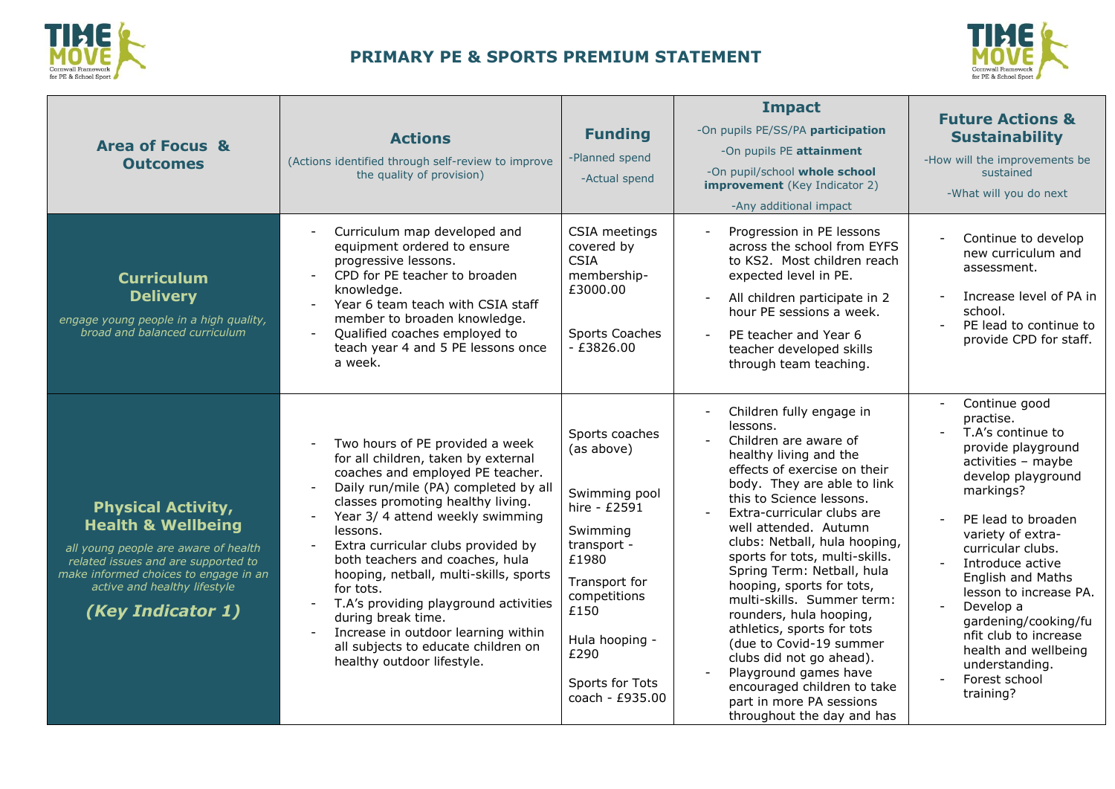



| <b>Area of Focus &amp;</b><br><b>Outcomes</b>                                                                                                                                                                                           | <b>Actions</b><br>(Actions identified through self-review to improve<br>the quality of provision)<br>Curriculum map developed and<br>equipment ordered to ensure<br>progressive lessons.<br>CPD for PE teacher to broaden                                                                                                                                                                                                                                                                                                                         | <b>Funding</b><br>-Planned spend<br>-Actual spend<br>CSIA meetings<br>covered by<br><b>CSIA</b><br>membership-                                                                                               | <b>Impact</b><br>-On pupils PE/SS/PA participation<br>-On pupils PE attainment<br>-On pupil/school whole school<br><b>improvement</b> (Key Indicator 2)<br>-Any additional impact<br>Progression in PE lessons<br>across the school from EYFS<br>to KS2. Most children reach<br>expected level in PE.                                                                                                                                                                                                                                                                                                                                   | <b>Future Actions &amp;</b><br><b>Sustainability</b><br>-How will the improvements be<br>sustained<br>-What will you do next<br>Continue to develop<br>new curriculum and<br>assessment.                                                                                                                                                                                                                |
|-----------------------------------------------------------------------------------------------------------------------------------------------------------------------------------------------------------------------------------------|---------------------------------------------------------------------------------------------------------------------------------------------------------------------------------------------------------------------------------------------------------------------------------------------------------------------------------------------------------------------------------------------------------------------------------------------------------------------------------------------------------------------------------------------------|--------------------------------------------------------------------------------------------------------------------------------------------------------------------------------------------------------------|-----------------------------------------------------------------------------------------------------------------------------------------------------------------------------------------------------------------------------------------------------------------------------------------------------------------------------------------------------------------------------------------------------------------------------------------------------------------------------------------------------------------------------------------------------------------------------------------------------------------------------------------|---------------------------------------------------------------------------------------------------------------------------------------------------------------------------------------------------------------------------------------------------------------------------------------------------------------------------------------------------------------------------------------------------------|
| <b>Curriculum</b><br><b>Delivery</b><br>engage young people in a high quality,<br>broad and balanced curriculum                                                                                                                         | knowledge.<br>Year 6 team teach with CSIA staff<br>member to broaden knowledge.<br>Qualified coaches employed to<br>teach year 4 and 5 PE lessons once<br>a week.                                                                                                                                                                                                                                                                                                                                                                                 | £3000.00<br>Sports Coaches<br>$-£3826.00$                                                                                                                                                                    | All children participate in 2<br>hour PE sessions a week.<br>PE teacher and Year 6<br>$\overline{\phantom{a}}$<br>teacher developed skills<br>through team teaching.                                                                                                                                                                                                                                                                                                                                                                                                                                                                    | Increase level of PA in<br>school.<br>PE lead to continue to<br>$\sim$<br>provide CPD for staff.                                                                                                                                                                                                                                                                                                        |
| <b>Physical Activity,</b><br><b>Health &amp; Wellbeing</b><br>all young people are aware of health<br>related issues and are supported to<br>make informed choices to engage in an<br>active and healthy lifestyle<br>(Key Indicator 1) | Two hours of PE provided a week<br>for all children, taken by external<br>coaches and employed PE teacher.<br>Daily run/mile (PA) completed by all<br>classes promoting healthy living.<br>Year 3/4 attend weekly swimming<br>lessons.<br>Extra curricular clubs provided by<br>both teachers and coaches, hula<br>hooping, netball, multi-skills, sports<br>for tots.<br>T.A's providing playground activities<br>during break time.<br>Increase in outdoor learning within<br>all subjects to educate children on<br>healthy outdoor lifestyle. | Sports coaches<br>(as above)<br>Swimming pool<br>hire - £2591<br>Swimming<br>transport -<br>£1980<br>Transport for<br>competitions<br>£150<br>Hula hooping -<br>£290<br>Sports for Tots<br>coach - $£935.00$ | Children fully engage in<br>lessons.<br>Children are aware of<br>healthy living and the<br>effects of exercise on their<br>body. They are able to link<br>this to Science lessons.<br>Extra-curricular clubs are<br>well attended. Autumn<br>clubs: Netball, hula hooping,<br>sports for tots, multi-skills.<br>Spring Term: Netball, hula<br>hooping, sports for tots,<br>multi-skills. Summer term:<br>rounders, hula hooping,<br>athletics, sports for tots<br>(due to Covid-19 summer<br>clubs did not go ahead).<br>Playground games have<br>encouraged children to take<br>part in more PA sessions<br>throughout the day and has | Continue good<br>practise.<br>T.A's continue to<br>provide playground<br>activities - maybe<br>develop playground<br>markings?<br>PE lead to broaden<br>variety of extra-<br>curricular clubs.<br>Introduce active<br>English and Maths<br>lesson to increase PA.<br>Develop a<br>gardening/cooking/fu<br>nfit club to increase<br>health and wellbeing<br>understanding.<br>Forest school<br>training? |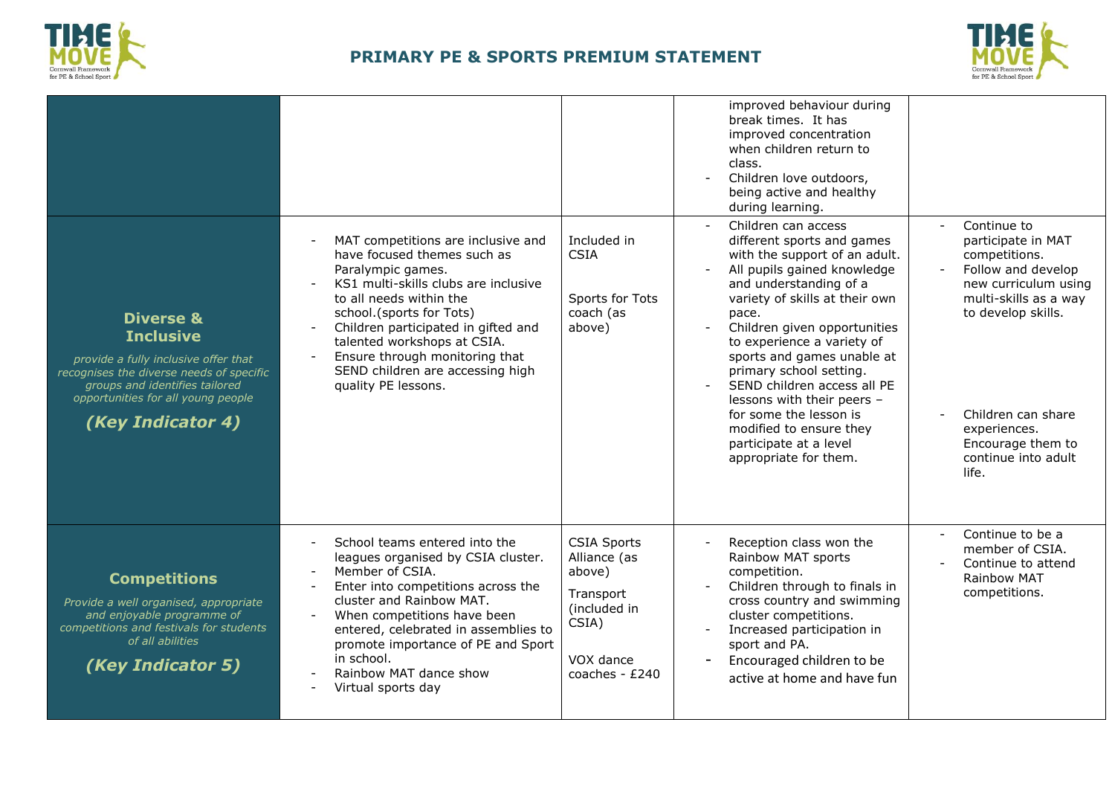



|                                                                                                                                                                                                                           |                                                                                                                                                                                                                                                                                                                                                          |                                                                                                                     | improved behaviour during<br>break times. It has<br>improved concentration<br>when children return to<br>class.<br>Children love outdoors,<br>being active and healthy<br>during learning.                                                                                                                                                                                                                                                                                                                     |                                                                                                                                                                                                                                            |
|---------------------------------------------------------------------------------------------------------------------------------------------------------------------------------------------------------------------------|----------------------------------------------------------------------------------------------------------------------------------------------------------------------------------------------------------------------------------------------------------------------------------------------------------------------------------------------------------|---------------------------------------------------------------------------------------------------------------------|----------------------------------------------------------------------------------------------------------------------------------------------------------------------------------------------------------------------------------------------------------------------------------------------------------------------------------------------------------------------------------------------------------------------------------------------------------------------------------------------------------------|--------------------------------------------------------------------------------------------------------------------------------------------------------------------------------------------------------------------------------------------|
| <b>Diverse &amp;</b><br><b>Inclusive</b><br>provide a fully inclusive offer that<br>recognises the diverse needs of specific<br>groups and identifies tailored<br>opportunities for all young people<br>(Key Indicator 4) | MAT competitions are inclusive and<br>have focused themes such as<br>Paralympic games.<br>KS1 multi-skills clubs are inclusive<br>to all needs within the<br>school.(sports for Tots)<br>Children participated in gifted and<br>talented workshops at CSIA.<br>Ensure through monitoring that<br>SEND children are accessing high<br>quality PE lessons. | Included in<br><b>CSIA</b><br>Sports for Tots<br>coach (as<br>above)                                                | Children can access<br>different sports and games<br>with the support of an adult.<br>All pupils gained knowledge<br>and understanding of a<br>variety of skills at their own<br>pace.<br>Children given opportunities<br>to experience a variety of<br>sports and games unable at<br>primary school setting.<br>SEND children access all PE<br>$\overline{\phantom{a}}$<br>lessons with their peers -<br>for some the lesson is<br>modified to ensure they<br>participate at a level<br>appropriate for them. | Continue to<br>participate in MAT<br>competitions.<br>Follow and develop<br>new curriculum using<br>multi-skills as a way<br>to develop skills.<br>Children can share<br>experiences.<br>Encourage them to<br>continue into adult<br>life. |
| <b>Competitions</b><br>Provide a well organised, appropriate<br>and enjoyable programme of<br>competitions and festivals for students<br>of all abilities<br>(Key Indicator 5)                                            | School teams entered into the<br>leagues organised by CSIA cluster.<br>Member of CSIA.<br>Enter into competitions across the<br>cluster and Rainbow MAT.<br>When competitions have been<br>entered, celebrated in assemblies to<br>promote importance of PE and Sport<br>in school.<br>Rainbow MAT dance show<br>Virtual sports day                      | <b>CSIA Sports</b><br>Alliance (as<br>above)<br>Transport<br>(included in<br>CSIA)<br>VOX dance<br>coaches - $£240$ | Reception class won the<br>Rainbow MAT sports<br>competition.<br>Children through to finals in<br>cross country and swimming<br>cluster competitions.<br>Increased participation in<br>$\overline{\phantom{a}}$<br>sport and PA.<br>Encouraged children to be<br>active at home and have fun                                                                                                                                                                                                                   | Continue to be a<br>member of CSIA.<br>Continue to attend<br>Rainbow MAT<br>competitions.                                                                                                                                                  |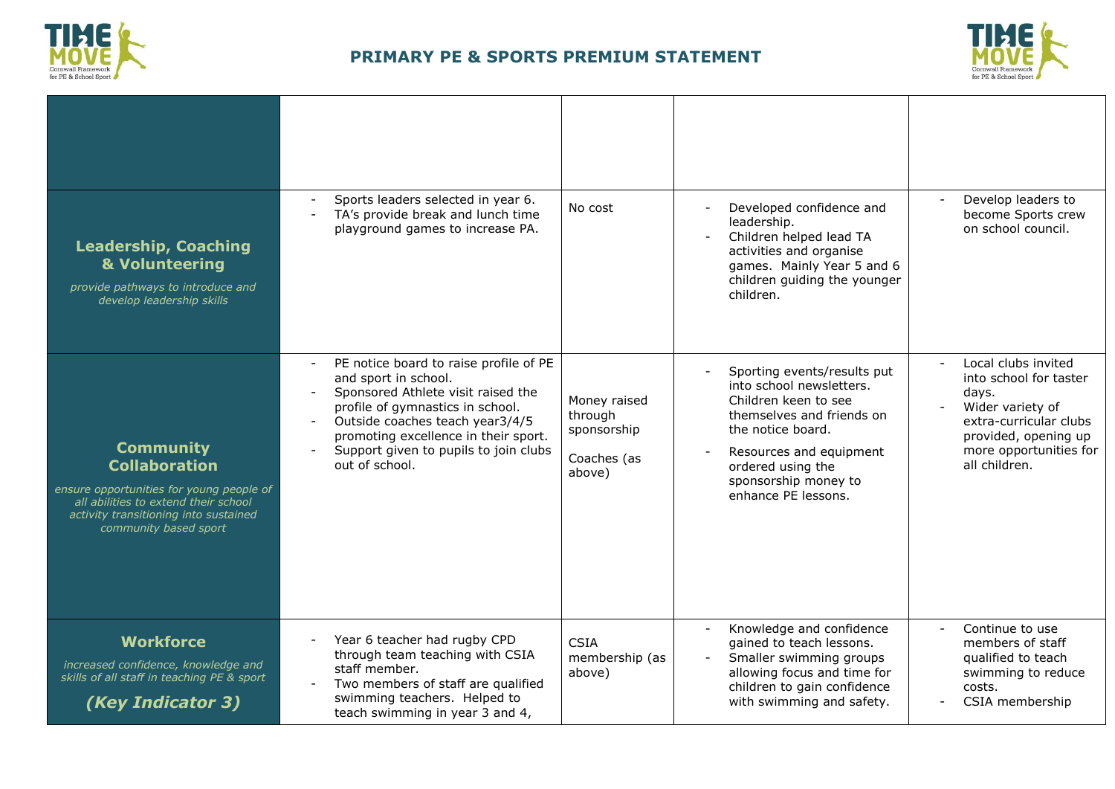



| <b>Leadership, Coaching</b><br>& Volunteering<br>provide pathways to introduce and<br>develop leadership skills                                                                                | Sports leaders selected in year 6.<br>TA's provide break and lunch time<br>playground games to increase PA.                                                                                                                                                                                                | No cost                                                         | Developed confidence and<br>$\mathbf{r}$<br>leadership.<br>Children helped lead TA<br>activities and organise<br>games. Mainly Year 5 and 6<br>children guiding the younger<br>children.                                         | Develop leaders to<br>become Sports crew<br>on school council.                                                                                                          |
|------------------------------------------------------------------------------------------------------------------------------------------------------------------------------------------------|------------------------------------------------------------------------------------------------------------------------------------------------------------------------------------------------------------------------------------------------------------------------------------------------------------|-----------------------------------------------------------------|----------------------------------------------------------------------------------------------------------------------------------------------------------------------------------------------------------------------------------|-------------------------------------------------------------------------------------------------------------------------------------------------------------------------|
| <b>Community</b><br><b>Collaboration</b><br>ensure opportunities for young people of<br>all abilities to extend their school<br>activity transitioning into sustained<br>community based sport | PE notice board to raise profile of PE<br>$\sim$<br>and sport in school.<br>Sponsored Athlete visit raised the<br>profile of gymnastics in school.<br>Outside coaches teach year3/4/5<br>$\blacksquare$<br>promoting excellence in their sport.<br>Support given to pupils to join clubs<br>out of school. | Money raised<br>through<br>sponsorship<br>Coaches (as<br>above) | Sporting events/results put<br>into school newsletters.<br>Children keen to see<br>themselves and friends on<br>the notice board.<br>Resources and equipment<br>ordered using the<br>sponsorship money to<br>enhance PE lessons. | Local clubs invited<br>into school for taster<br>days.<br>Wider variety of<br>extra-curricular clubs<br>provided, opening up<br>more opportunities for<br>all children. |
| <b>Workforce</b><br>increased confidence, knowledge and<br>skills of all staff in teaching PE & sport<br>(Key Indicator 3)                                                                     | Year 6 teacher had rugby CPD<br>through team teaching with CSIA<br>staff member.<br>Two members of staff are qualified<br>swimming teachers. Helped to<br>teach swimming in year 3 and 4,                                                                                                                  | <b>CSIA</b><br>membership (as<br>above)                         | Knowledge and confidence<br>$\overline{\phantom{a}}$<br>gained to teach lessons.<br>Smaller swimming groups<br>allowing focus and time for<br>children to gain confidence<br>with swimming and safety.                           | Continue to use<br>members of staff<br>qualified to teach<br>swimming to reduce<br>costs.<br>CSIA membership                                                            |